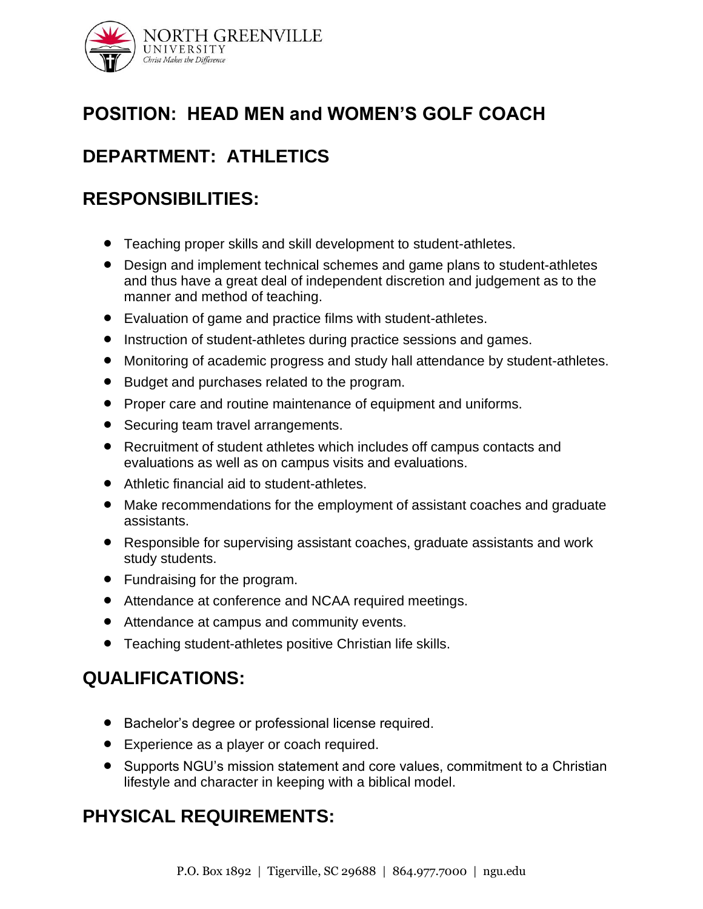

# **POSITION: HEAD MEN and WOMEN'S GOLF COACH**

# **DEPARTMENT: ATHLETICS**

## **RESPONSIBILITIES:**

- Teaching proper skills and skill development to student-athletes.
- Design and implement technical schemes and game plans to student-athletes and thus have a great deal of independent discretion and judgement as to the manner and method of teaching.
- Evaluation of game and practice films with student-athletes.
- Instruction of student-athletes during practice sessions and games.
- Monitoring of academic progress and study hall attendance by student-athletes.
- Budget and purchases related to the program.
- Proper care and routine maintenance of equipment and uniforms.
- Securing team travel arrangements.
- Recruitment of student athletes which includes off campus contacts and evaluations as well as on campus visits and evaluations.
- Athletic financial aid to student-athletes.
- Make recommendations for the employment of assistant coaches and graduate assistants.
- Responsible for supervising assistant coaches, graduate assistants and work study students.
- Fundraising for the program.
- Attendance at conference and NCAA required meetings.
- Attendance at campus and community events.
- Teaching student-athletes positive Christian life skills.

## **QUALIFICATIONS:**

- Bachelor's degree or professional license required.
- Experience as a player or coach required.
- Supports NGU's mission statement and core values, commitment to a Christian lifestyle and character in keeping with a biblical model.

#### **PHYSICAL REQUIREMENTS:**